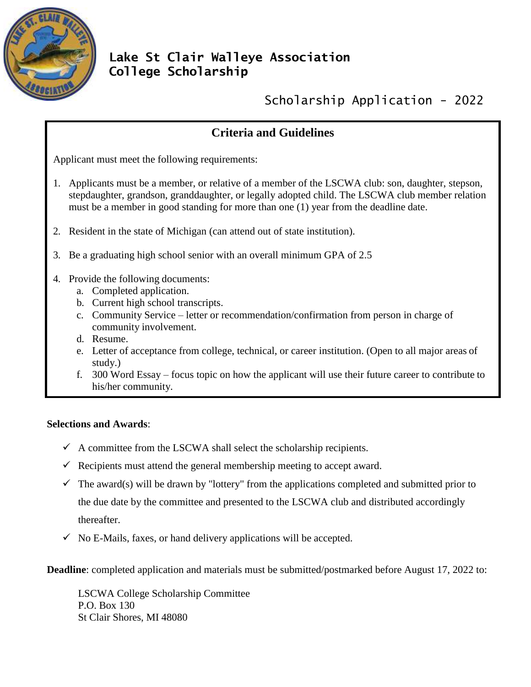

## **Lake St Clair Walleye Association College Scholarship**

Scholarship Application - 2022

## **Criteria and Guidelines**

Applicant must meet the following requirements:

- 1. Applicants must be a member, or relative of a member of the LSCWA club: son, daughter, stepson, stepdaughter, grandson, granddaughter, or legally adopted child. The LSCWA club member relation must be a member in good standing for more than one (1) year from the deadline date.
- 2. Resident in the state of Michigan (can attend out of state institution).
- 3. Be a graduating high school senior with an overall minimum GPA of 2.5
- 4. Provide the following documents:
	- a. Completed application.
	- b. Current high school transcripts.
	- c. Community Service letter or recommendation/confirmation from person in charge of community involvement.
	- d. Resume.
	- e. Letter of acceptance from college, technical, or career institution. (Open to all major areas of study.)
	- f. 300 Word Essay focus topic on how the applicant will use their future career to contribute to his/her community.

## **Selections and Awards**:

- $\checkmark$  A committee from the LSCWA shall select the scholarship recipients.
- $\checkmark$  Recipients must attend the general membership meeting to accept award.
- $\checkmark$  The award(s) will be drawn by "lottery" from the applications completed and submitted prior to the due date by the committee and presented to the LSCWA club and distributed accordingly thereafter.
- $\checkmark$  No E-Mails, faxes, or hand delivery applications will be accepted.

**Deadline**: completed application and materials must be submitted/postmarked before August 17, 2022 to:

LSCWA College Scholarship Committee P.O. Box 130 St Clair Shores, MI 48080